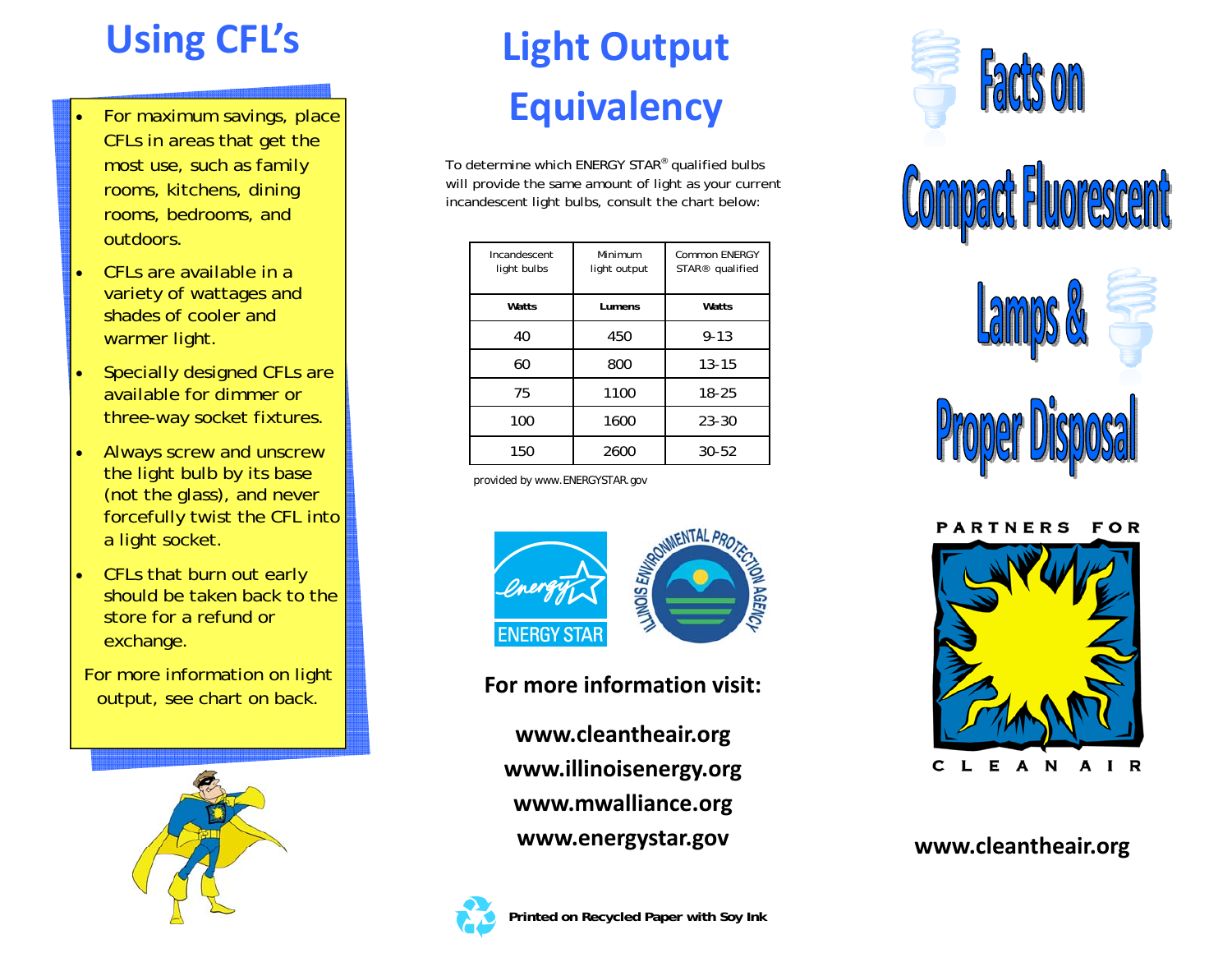- For maximum savings, place CFLs in areas that get the most use, such as family rooms, kitchens, dining rooms, bedrooms, and outdoors.
- CFLs are available in a variety of wattages and shades of cooler and warmer light.
- Specially designed CFLs are available for dimmer or three-way socket fixtures.
- Always screw and unscrew the light bulb by its base (not the glass), and never forcefully twist the CFL into a light socket.
- CFLs that burn out early should be taken back to the store for a refund or exchange.
- For more information on light output, see chart on back.



# **Using CFL's Light Output Equivalency**

To determine which ENERGY STAR® qualified bulbs will provide the same amount of light as your current incandescent light bulbs, consult the chart below:

| Incandescent<br>light bulbs | Minimum<br>light output | Common ENERGY<br>STAR <sup>®</sup> qualified |
|-----------------------------|-------------------------|----------------------------------------------|
| Watts                       | Lumens                  | Watts                                        |
| 40                          | 450                     | $9 - 13$                                     |
| 60                          | 800                     | $13 - 15$                                    |
| 75                          | 1100                    | 18-25                                        |
| 100                         | 1600                    | $23 - 30$                                    |
| 150                         | 2600                    | $30 - 52$                                    |

*provided by www.ENERGYSTAR.gov*



**For more information visit:**

**www.cleantheair.org www.illinoisenergy.org www.mwalliance.org www.energystar.gov**











**www.cleantheair.org**